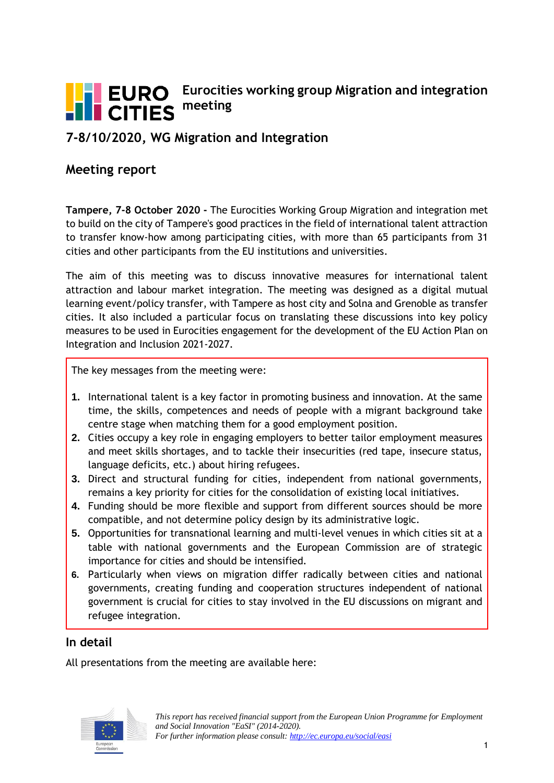

# **Eurocities working group Migration and integration meeting**

# **7-8/10/2020, WG Migration and Integration**

#### **Meeting report**

**Tampere, 7-8 October 2020 -** The Eurocities Working Group Migration and integration met to build on the city of Tampere's good practices in the field of international talent attraction to transfer know-how among participating cities, with more than 65 participants from 31 cities and other participants from the EU institutions and universities.

The aim of this meeting was to discuss innovative measures for international talent attraction and labour market integration. The meeting was designed as a digital mutual learning event/policy transfer, with Tampere as host city and Solna and Grenoble as transfer cities. It also included a particular focus on translating these discussions into key policy measures to be used in Eurocities engagement for the development of the EU Action Plan on Integration and Inclusion 2021-2027.

The key messages from the meeting were:

- **1.** International talent is a key factor in promoting business and innovation. At the same time, the skills, competences and needs of people with a migrant background take centre stage when matching them for a good employment position.
- **2.** Cities occupy a key role in engaging employers to better tailor employment measures and meet skills shortages, and to tackle their insecurities (red tape, insecure status, language deficits, etc.) about hiring refugees.
- **3.** Direct and structural funding for cities, independent from national governments, remains a key priority for cities for the consolidation of existing local initiatives.
- **4.** Funding should be more flexible and support from different sources should be more compatible, and not determine policy design by its administrative logic.
- **5.** Opportunities for transnational learning and multi-level venues in which cities sit at a table with national governments and the European Commission are of strategic importance for cities and should be intensified.
- **6.** Particularly when views on migration differ radically between cities and national governments, creating funding and cooperation structures independent of national government is crucial for cities to stay involved in the EU discussions on migrant and refugee integration.

#### **In detail**

All presentations from the meeting are available here:

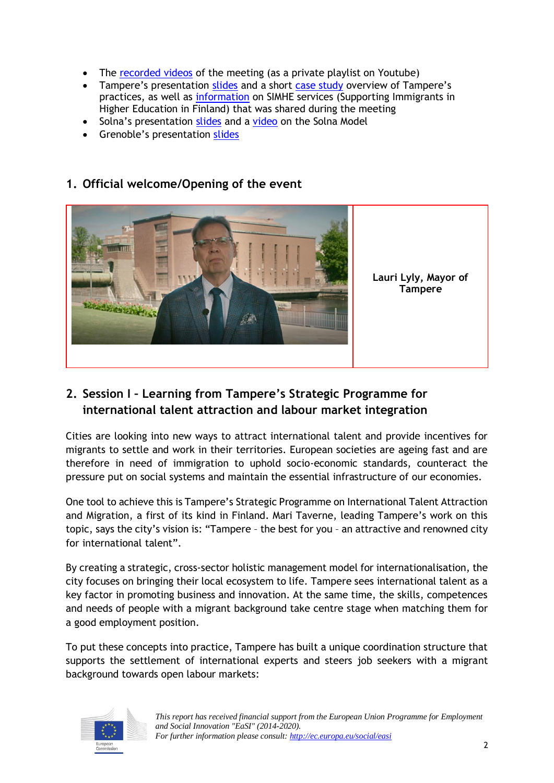- The [recorded videos](https://www.youtube.com/playlist?list=PLvzHLhum83vuGhfLQJtfHpusNe2cbCULU) of the meeting (as a private playlist on Youtube)
- Tampere's presentation [slides](http://nws.eurocities.eu/MediaShell/media/Tampere_WG_Migration_7-8_October_2020.pdf) and a short [case study](http://nws.eurocities.eu/MediaShell/media/Case_study_Tampere_WGMigration.pdf) overview of Tampere's practices, as well as [information](https://www.metropolia.fi/en/rdi/rdi-projects/simhe) on SIMHE services (Supporting Immigrants in Higher Education in Finland) that was shared during the meeting
- Solna's presentation [slides](http://nws.eurocities.eu/MediaShell/media/Solna_WG_Migration_7-8_October_2020.pdf) and a [video](https://www.youtube.com/watch?v=slTsn7Z_Pwc&feature=youtu.be) on the Solna Model
- Grenoble's presentation [slides](http://nws.eurocities.eu/MediaShell/media/Grenoble_WG_Migration_7-8_October_2020.pdf)



#### **1. Official welcome/Opening of the event**

## **2. Session I – Learning from Tampere's Strategic Programme for international talent attraction and labour market integration**

Cities are looking into new ways to attract international talent and provide incentives for migrants to settle and work in their territories. European societies are ageing fast and are therefore in need of immigration to uphold socio-economic standards, counteract the pressure put on social systems and maintain the essential infrastructure of our economies.

One tool to achieve this is Tampere's Strategic Programme on International Talent Attraction and Migration, a first of its kind in Finland. Mari Taverne, leading Tampere's work on this topic, says the city's vision is: "Tampere – the best for you – an attractive and renowned city for international talent".

By creating a strategic, cross-sector holistic management model for internationalisation, the city focuses on bringing their local ecosystem to life. Tampere sees international talent as a key factor in promoting business and innovation. At the same time, the skills, competences and needs of people with a migrant background take centre stage when matching them for a good employment position.

To put these concepts into practice, Tampere has built a unique coordination structure that supports the settlement of international experts and steers job seekers with a migrant background towards open labour markets:

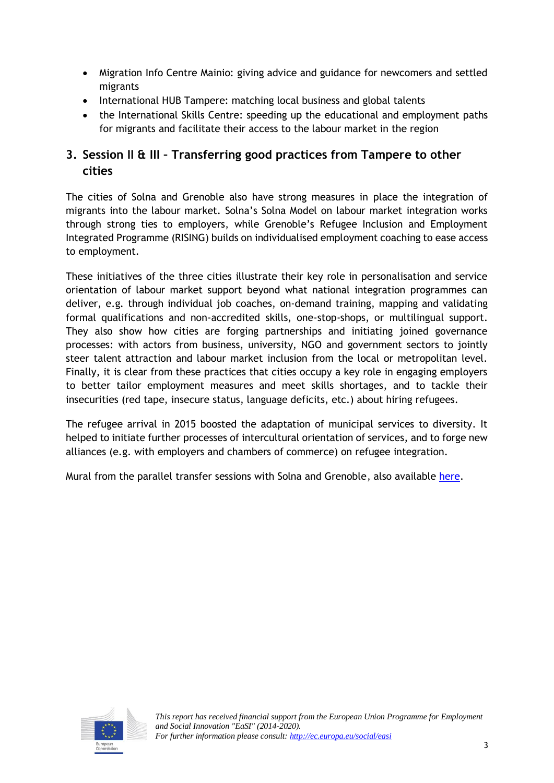- Migration Info Centre Mainio: giving advice and guidance for newcomers and settled migrants
- International HUB Tampere: matching local business and global talents
- the International Skills Centre: speeding up the educational and employment paths for migrants and facilitate their access to the labour market in the region

# **3. Session II & III – Transferring good practices from Tampere to other cities**

The cities of Solna and Grenoble also have strong measures in place the integration of migrants into the labour market. Solna's Solna Model on labour market integration works through strong ties to employers, while Grenoble's Refugee Inclusion and Employment Integrated Programme (RISING) builds on individualised employment coaching to ease access to employment.

These initiatives of the three cities illustrate their key role in personalisation and service orientation of labour market support beyond what national integration programmes can deliver, e.g. through individual job coaches, on-demand training, mapping and validating formal qualifications and non-accredited skills, one-stop-shops, or multilingual support. They also show how cities are forging partnerships and initiating joined governance processes: with actors from business, university, NGO and government sectors to jointly steer talent attraction and labour market inclusion from the local or metropolitan level. Finally, it is clear from these practices that cities occupy a key role in engaging employers to better tailor employment measures and meet skills shortages, and to tackle their insecurities (red tape, insecure status, language deficits, etc.) about hiring refugees.

The refugee arrival in 2015 boosted the adaptation of municipal services to diversity. It helped to initiate further processes of intercultural orientation of services, and to forge new alliances (e.g. with employers and chambers of commerce) on refugee integration.

Mural from the parallel transfer sessions with Solna and Grenoble, also available [here.](http://nws.eurocities.eu/MediaShell/media/Mural.png)

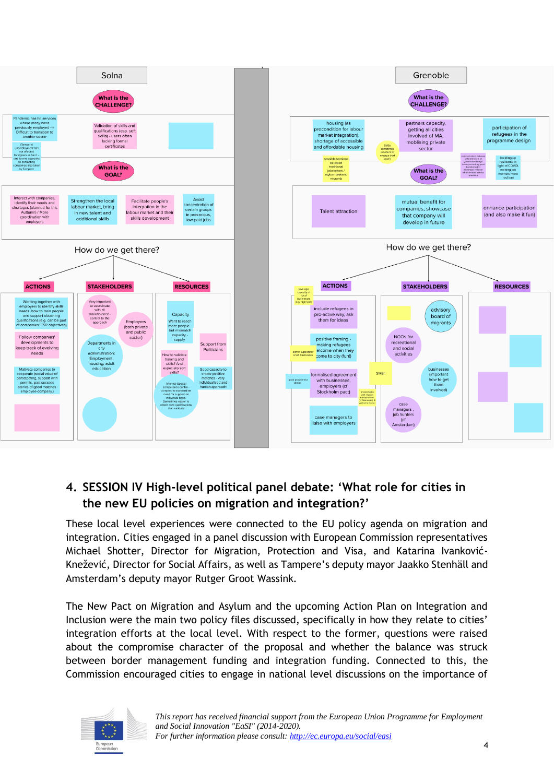

## **4. SESSION IV High-level political panel debate: 'What role for cities in the new EU policies on migration and integration?'**

These local level experiences were connected to the EU policy agenda on migration and integration. Cities engaged in a panel discussion with European Commission representatives Michael Shotter, Director for Migration, Protection and Visa, and Katarina Ivanković-Knežević, Director for Social Affairs, as well as Tampere's deputy mayor Jaakko Stenhäll and Amsterdam's deputy mayor Rutger Groot Wassink.

The New Pact on Migration and Asylum and the upcoming Action Plan on Integration and Inclusion were the main two policy files discussed, specifically in how they relate to cities' integration efforts at the local level. With respect to the former, questions were raised about the compromise character of the proposal and whether the balance was struck between border management funding and integration funding. Connected to this, the Commission encouraged cities to engage in national level discussions on the importance of

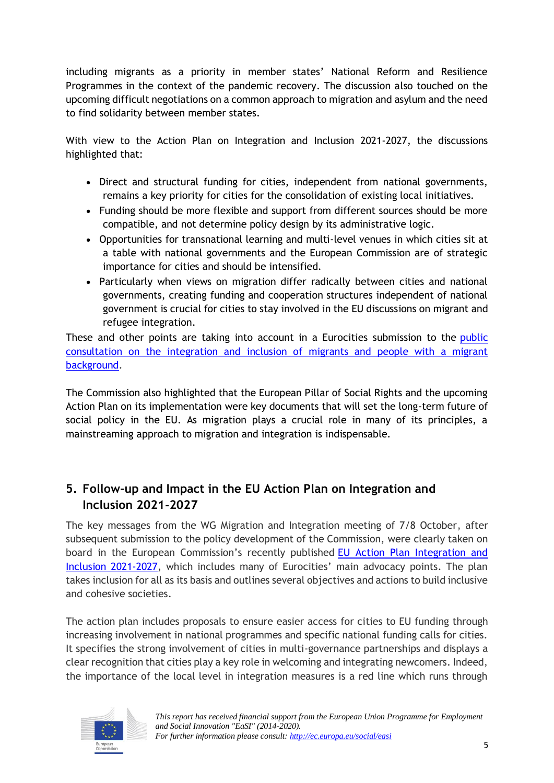including migrants as a priority in member states' National Reform and Resilience Programmes in the context of the pandemic recovery. The discussion also touched on the upcoming difficult negotiations on a common approach to migration and asylum and the need to find solidarity between member states.

With view to the Action Plan on Integration and Inclusion 2021-2027, the discussions highlighted that:

- Direct and structural funding for cities, independent from national governments, remains a key priority for cities for the consolidation of existing local initiatives.
- Funding should be more flexible and support from different sources should be more compatible, and not determine policy design by its administrative logic.
- Opportunities for transnational learning and multi-level venues in which cities sit at a table with national governments and the European Commission are of strategic importance for cities and should be intensified.
- Particularly when views on migration differ radically between cities and national governments, creating funding and cooperation structures independent of national government is crucial for cities to stay involved in the EU discussions on migrant and refugee integration.

These and other points are taking into account in a Eurocities submission to the public [consultation on the integration and inclusion of migrants and people with a migrant](https://ec.europa.eu/eusurvey/runner/consultationintegrationmigrants?surveylanguage=EN)  [background.](https://ec.europa.eu/eusurvey/runner/consultationintegrationmigrants?surveylanguage=EN)

The Commission also highlighted that the European Pillar of Social Rights and the upcoming Action Plan on its implementation were key documents that will set the long-term future of social policy in the EU. As migration plays a crucial role in many of its principles, a mainstreaming approach to migration and integration is indispensable.

## **5. Follow-up and Impact in the EU Action Plan on Integration and Inclusion 2021-2027**

The key messages from the WG Migration and Integration meeting of 7/8 October, after subsequent submission to the policy development of the Commission, were clearly taken on board in the European Commission's recently published [EU Action Plan Integration and](https://ec.europa.eu/home-affairs/sites/homeaffairs/files/pdf/action_plan_on_integration_and_inclusion_2021-2027.pdf)  [Inclusion 2021-2027,](https://ec.europa.eu/home-affairs/sites/homeaffairs/files/pdf/action_plan_on_integration_and_inclusion_2021-2027.pdf) which includes many of Eurocities' main advocacy points. The plan takes inclusion for all as its basis and outlines several objectives and actions to build inclusive and cohesive societies.

The action plan includes proposals to ensure easier access for cities to EU funding through increasing involvement in national programmes and specific national funding calls for cities. It specifies the strong involvement of cities in multi-governance partnerships and displays a clear recognition that cities play a key role in welcoming and integrating newcomers. Indeed, the importance of the local level in integration measures is a red line which runs through